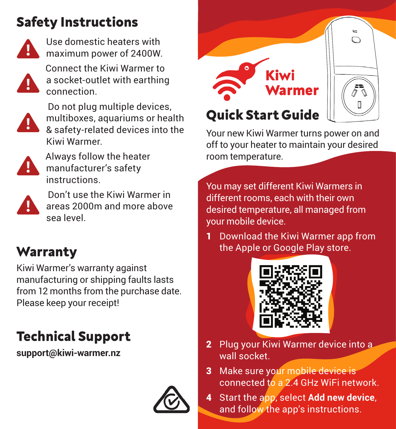## **Safety Instructions**



Use domestic heaters with maximum power of 2400W.

 Connect the Kiwi Warmer to a socket-outlet with earthing connection.



 Do not plug multiple devices, multiboxes, aquariums or health & safety-related devices into the Kiwi Warmer.



 Always follow the heater manufacturer's safety instructions.



 Don't use the Kiwi Warmer in areas 2000m and more above sea level.

## **Warranty**

Kiwi Warmer's warranty against manufacturing or shipping faults lasts from 12 months from the purchase date. Please keep your receipt!

### **Technical Support**

**support@kiwi-warmer.nz**





Your new Kiwi Warmer turns power on and off to your heater to maintain your desired room temperature.

You may set different Kiwi Warmers in different rooms, each with their own desired temperature, all managed from your mobile device.

1 Download the Kiwi Warmer app from the Apple or Google Play store.



- 2 Plug your Kiwi Warmer device into a wall socket.
- 3 Make sure your mobile device is connected to a 2.4 GHz WiFi network.
- 4 Start the app, select **Add new device**, and follow the app's instructions.